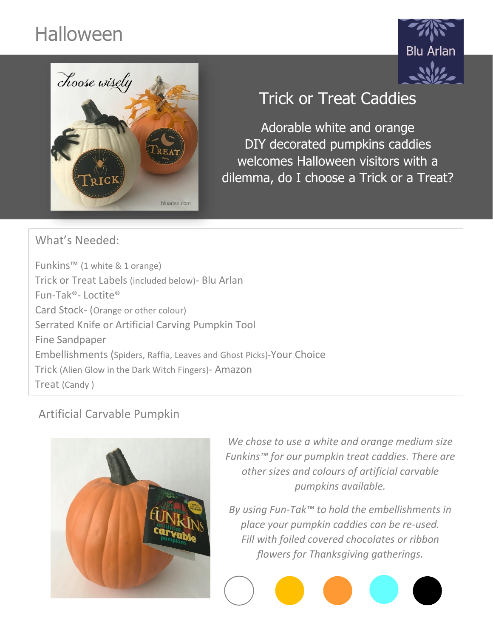# Halloween





## Trick or Treat Caddies

Adorable white and orange DIY decorated pumpkins caddies welcomes Halloween visitors with a dilemma, do I choose a Trick or a Treat?

What's Needed:

Funkins™ (1 white & 1 orange) Trick or Treat Labels (included below)- Blu Arlan Fun-Tak®- Loctite® Card Stock- (Orange or other colour) Serrated Knife or Artificial Carving Pumpkin Tool Fine Sandpaper Embellishments (Spiders, Raffia, Leaves and Ghost Picks)-Your Choice Trick (Alien Glow in the Dark Witch Fingers)- Amazon Treat (Candy )

### Artificial Carvable Pumpkin



*We chose to use a white and orange medium size Funkins™ for our pumpkin treat caddies. There are other sizes and colours of artificial carvable pumpkins available.*

*By using Fun-Tak™ to hold the embellishments in place your pumpkin caddies can be re-used. Fill with foiled covered chocolates or ribbon flowers for Thanksgiving gatherings.*

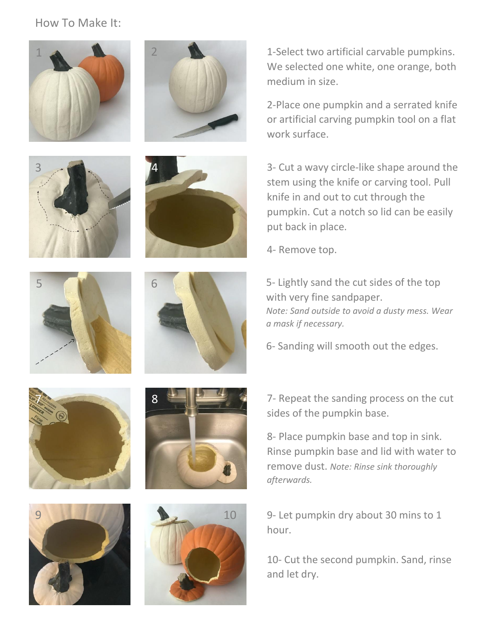#### How To Make It:



1-Select two artificial carvable pumpkins. We selected one white, one orange, both medium in size.

2-Place one pumpkin and a serrated knife or artificial carving pumpkin tool on a flat work surface.

3- Cut a wavy circle-like shape around the stem using the knife or carving tool. Pull knife in and out to cut through the pumpkin. Cut a notch so lid can be easily put back in place.

4- Remove top.

5- Lightly sand the cut sides of the top with very fine sandpaper. *Note: Sand outside to avoid a dusty mess. Wear a mask if necessary.*

6- Sanding will smooth out the edges.

7- Repeat the sanding process on the cut sides of the pumpkin base.

8- Place pumpkin base and top in sink. Rinse pumpkin base and lid with water to remove dust. *Note: Rinse sink thoroughly afterwards.*

9- Let pumpkin dry about 30 mins to 1 hour.

10- Cut the second pumpkin. Sand, rinse and let dry.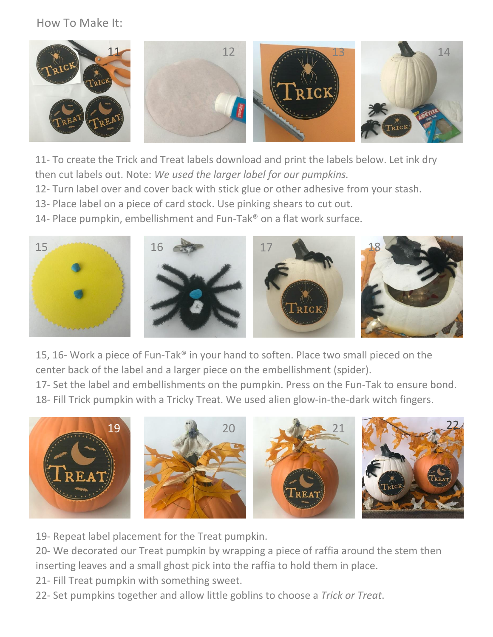#### How To Make It:



11- To create the Trick and Treat labels download and print the labels below. Let ink dry then cut labels out. Note: *We used the larger label for our pumpkins.*

12- Turn label over and cover back with stick glue or other adhesive from your stash.

13- Place label on a piece of card stock. Use pinking shears to cut out.

14- Place pumpkin, embellishment and Fun-Tak® on a flat work surface.



15, 16- Work a piece of Fun-Tak® in your hand to soften. Place two small pieced on the center back of the label and a larger piece on the embellishment (spider).

17- Set the label and embellishments on the pumpkin. Press on the Fun-Tak to ensure bond. 18- Fill Trick pumpkin with a Tricky Treat. We used alien glow-in-the-dark witch fingers.



19- Repeat label placement for the Treat pumpkin.

20- We decorated our Treat pumpkin by wrapping a piece of raffia around the stem then inserting leaves and a small ghost pick into the raffia to hold them in place.

- 21- Fill Treat pumpkin with something sweet.
- 22- Set pumpkins together and allow little goblins to choose a *Trick or Treat*.